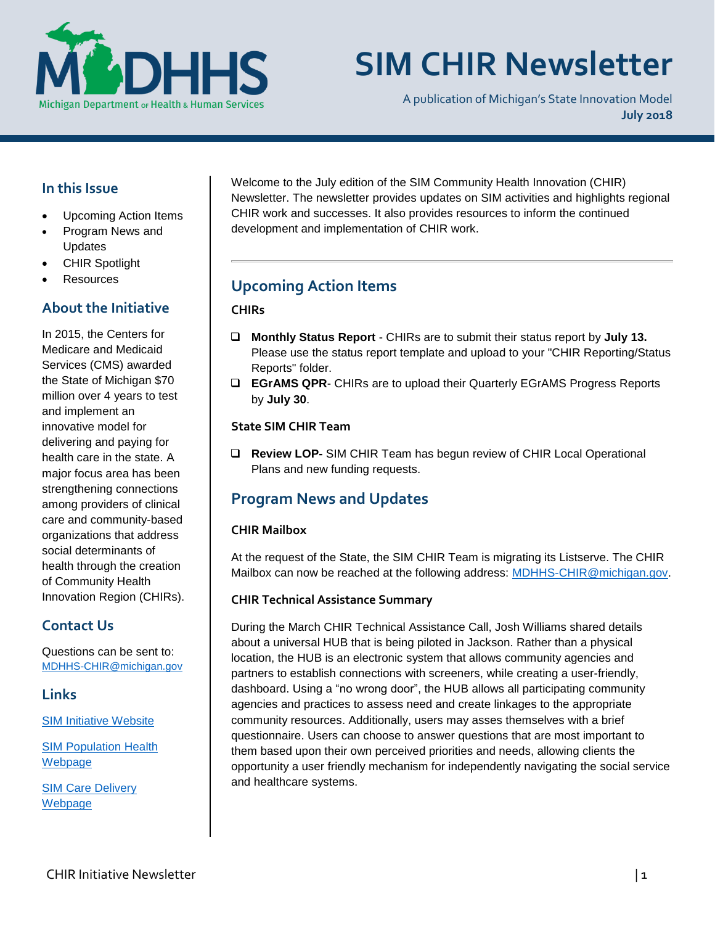

# **SIM CHIR Newsletter**

A publication of Michigan's State Innovation Model **July 2018**

## **In this Issue**

- Upcoming Action Items
- Program News and Updates
- CHIR Spotlight
- **Resources**

### **About the Initiative**

In 2015, the Centers for Medicare and Medicaid Services (CMS) awarded the State of Michigan \$70 million over 4 years to test and implement an innovative model for delivering and paying for health care in the state. A major focus area has been strengthening connections among providers of clinical care and community-based organizations that address social determinants of health through the creation of Community Health Innovation Region (CHIRs).

## **Contact Us**

Questions can be sent to: [MDHHS-CHIR@michigan.gov](mailto:MDHHS-CHIR@michigan.gov)

**Links**

[SIM Initiative Website](https://www.michigan.gov/mdhhs/0,5885,7-339-71551_64491---,00.html)

[SIM Population Health](http://www.michigan.gov/mdhhs/0,5885,7-339-71551_2945_64491_76092_77453---,00.html)  [Webp](http://www.michigan.gov/mdhhs/0,5885,7-339-71551_2945_64491_76092_77453---,00.html)age

SIM [Care Delivery](https://www.michigan.gov/mdhhs/0,5885,7-339-71551_64491_86032---,00.html)  [Webpage](https://www.michigan.gov/mdhhs/0,5885,7-339-71551_64491_86032---,00.html)

Welcome to the July edition of the SIM Community Health Innovation (CHIR) Newsletter. The newsletter provides updates on SIM activities and highlights regional CHIR work and successes. It also provides resources to inform the continued development and implementation of CHIR work.

# **Upcoming Action Items**

#### **CHIRs**

- ❑ **Monthly Status Report** CHIRs are to submit their status report by **July 13.** Please use the status report template and upload to your "CHIR Reporting/Status Reports" folder.
- ❑ **EGrAMS QPR** CHIRs are to upload their Quarterly EGrAMS Progress Reports by **July 30**.

#### **State SIM CHIR Team**

❑ **Review LOP-** SIM CHIR Team has begun review of CHIR Local Operational Plans and new funding requests.

## **Program News and Updates**

#### **CHIR Mailbox**

At the request of the State, the SIM CHIR Team is migrating its Listserve. The CHIR Mailbox can now be reached at the following address: [MDHHS-CHIR@michigan.gov.](mailto:MDHHS-CHIR@michigan.gov)

#### **CHIR Technical Assistance Summary**

During the March CHIR Technical Assistance Call, Josh Williams shared details about a universal HUB that is being piloted in Jackson. Rather than a physical location, the HUB is an electronic system that allows community agencies and partners to establish connections with screeners, while creating a user-friendly, dashboard. Using a "no wrong door", the HUB allows all participating community agencies and practices to assess need and create linkages to the appropriate community resources. Additionally, users may asses themselves with a brief questionnaire. Users can choose to answer questions that are most important to them based upon their own perceived priorities and needs, allowing clients the opportunity a user friendly mechanism for independently navigating the social service and healthcare systems.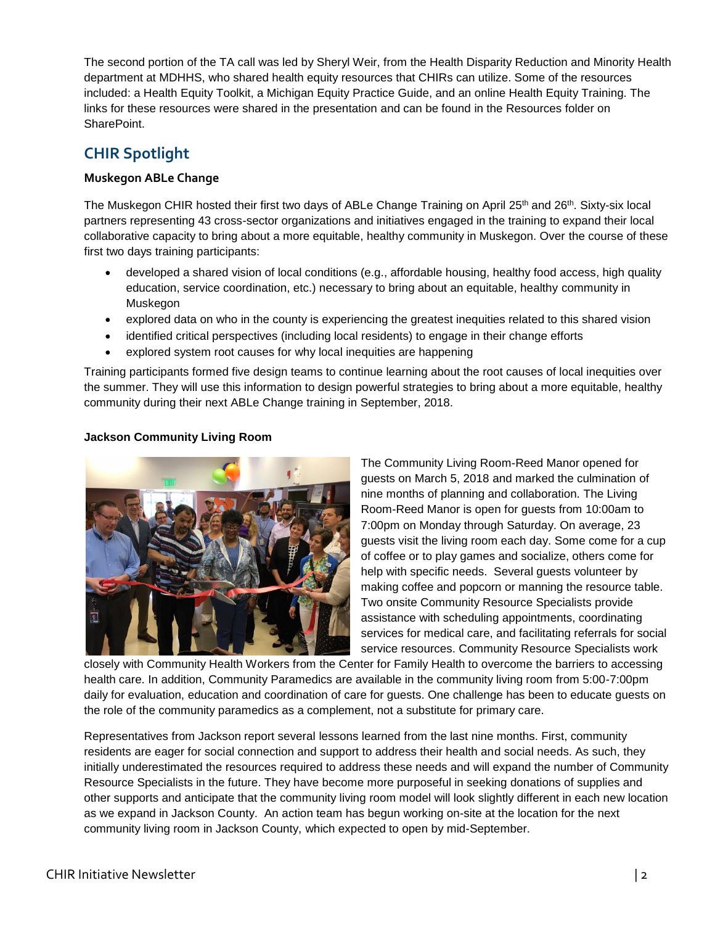The second portion of the TA call was led by Sheryl Weir, from the Health Disparity Reduction and Minority Health department at MDHHS, who shared health equity resources that CHIRs can utilize. Some of the resources included: a Health Equity Toolkit, a Michigan Equity Practice Guide, and an online Health Equity Training. The links for these resources were shared in the presentation and can be found in the Resources folder on SharePoint.

# **CHIR Spotlight**

#### **Muskegon ABLe Change**

The Muskegon CHIR hosted their first two days of ABLe Change Training on April 25<sup>th</sup> and 26<sup>th</sup>. Sixty-six local partners representing 43 cross-sector organizations and initiatives engaged in the training to expand their local collaborative capacity to bring about a more equitable, healthy community in Muskegon. Over the course of these first two days training participants:

- developed a shared vision of local conditions (e.g., affordable housing, healthy food access, high quality education, service coordination, etc.) necessary to bring about an equitable, healthy community in Muskegon
- explored data on who in the county is experiencing the greatest inequities related to this shared vision
- identified critical perspectives (including local residents) to engage in their change efforts
- explored system root causes for why local inequities are happening

Training participants formed five design teams to continue learning about the root causes of local inequities over the summer. They will use this information to design powerful strategies to bring about a more equitable, healthy community during their next ABLe Change training in September, 2018.

#### **Jackson Community Living Room**



The Community Living Room-Reed Manor opened for guests on March 5, 2018 and marked the culmination of nine months of planning and collaboration. The Living Room-Reed Manor is open for guests from 10:00am to 7:00pm on Monday through Saturday. On average, 23 guests visit the living room each day. Some come for a cup of coffee or to play games and socialize, others come for help with specific needs. Several guests volunteer by making coffee and popcorn or manning the resource table. Two onsite Community Resource Specialists provide assistance with scheduling appointments, coordinating services for medical care, and facilitating referrals for social service resources. Community Resource Specialists work

closely with Community Health Workers from the Center for Family Health to overcome the barriers to accessing health care. In addition, Community Paramedics are available in the community living room from 5:00-7:00pm daily for evaluation, education and coordination of care for guests. One challenge has been to educate guests on the role of the community paramedics as a complement, not a substitute for primary care.

Representatives from Jackson report several lessons learned from the last nine months. First, community residents are eager for social connection and support to address their health and social needs. As such, they initially underestimated the resources required to address these needs and will expand the number of Community Resource Specialists in the future. They have become more purposeful in seeking donations of supplies and other supports and anticipate that the community living room model will look slightly different in each new location as we expand in Jackson County. An action team has begun working on-site at the location for the next community living room in Jackson County, which expected to open by mid-September.